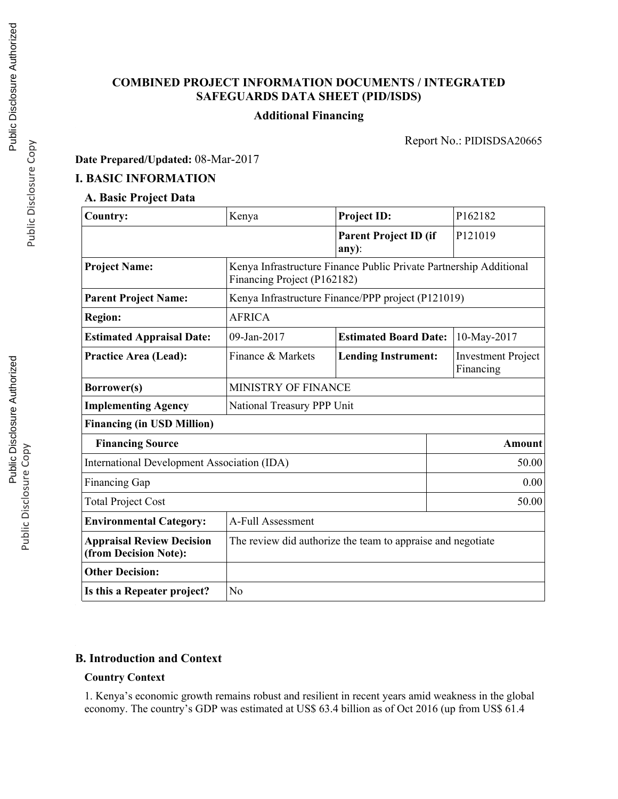## **COMBINED PROJECT INFORMATION DOCUMENTS / INTEGRATED SAFEGUARDS DATA SHEET (PID/ISDS)**

#### **Additional Financing**

Report No.: PIDISDSA20665

**Date Prepared/Updated:** 08-Mar-2017

### **I. BASIC INFORMATION**

## **A. Basic Project Data**

| <b>Country:</b>                                           | Kenya                       | <b>Project ID:</b>                                                   | P162182     |  |
|-----------------------------------------------------------|-----------------------------|----------------------------------------------------------------------|-------------|--|
|                                                           |                             | <b>Parent Project ID (if</b><br>$any)$ :                             | P121019     |  |
| <b>Project Name:</b>                                      | Financing Project (P162182) | Kenya Infrastructure Finance Public Private Partnership Additional   |             |  |
| <b>Parent Project Name:</b>                               |                             | Kenya Infrastructure Finance/PPP project (P121019)                   |             |  |
| <b>Region:</b>                                            | <b>AFRICA</b>               |                                                                      |             |  |
| <b>Estimated Appraisal Date:</b>                          | 09-Jan-2017                 | <b>Estimated Board Date:</b>                                         | 10-May-2017 |  |
| <b>Practice Area (Lead):</b>                              | Finance & Markets           | <b>Lending Instrument:</b><br><b>Investment Project</b><br>Financing |             |  |
| Borrower(s)                                               | MINISTRY OF FINANCE         |                                                                      |             |  |
| <b>Implementing Agency</b>                                | National Treasury PPP Unit  |                                                                      |             |  |
| <b>Financing (in USD Million)</b>                         |                             |                                                                      |             |  |
| <b>Financing Source</b>                                   |                             |                                                                      | Amount      |  |
| International Development Association (IDA)               |                             |                                                                      | 50.00       |  |
| <b>Financing Gap</b>                                      |                             |                                                                      | 0.00        |  |
| <b>Total Project Cost</b>                                 |                             |                                                                      | 50.00       |  |
| <b>Environmental Category:</b>                            | A-Full Assessment           |                                                                      |             |  |
| <b>Appraisal Review Decision</b><br>(from Decision Note): |                             | The review did authorize the team to appraise and negotiate          |             |  |
| <b>Other Decision:</b>                                    |                             |                                                                      |             |  |
| Is this a Repeater project?                               | No                          |                                                                      |             |  |

#### **B. Introduction and Context**

#### **Country Context**

1. Kenya's economic growth remains robust and resilient in recent years amid weakness in the global economy. The country's GDP was estimated at US\$ 63.4 billion as of Oct 2016 (up from US\$ 61.4

Public Disclosure Copy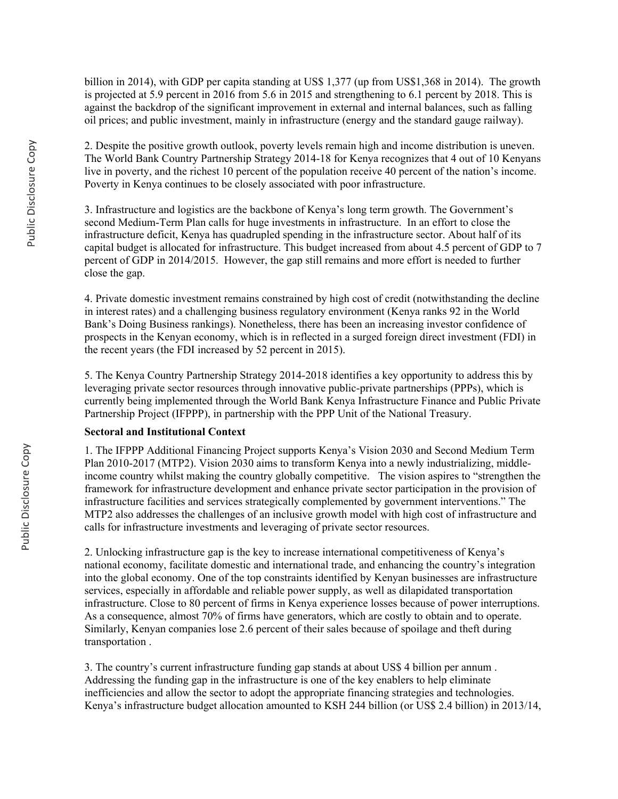billion in 2014), with GDP per capita standing at US\$ 1,377 (up from US\$1,368 in 2014). The growth is projected at 5.9 percent in 2016 from 5.6 in 2015 and strengthening to 6.1 percent by 2018. This is against the backdrop of the significant improvement in external and internal balances, such as falling oil prices; and public investment, mainly in infrastructure (energy and the standard gauge railway).

2. Despite the positive growth outlook, poverty levels remain high and income distribution is uneven. The World Bank Country Partnership Strategy 2014-18 for Kenya recognizes that 4 out of 10 Kenyans live in poverty, and the richest 10 percent of the population receive 40 percent of the nation's income. Poverty in Kenya continues to be closely associated with poor infrastructure.

3. Infrastructure and logistics are the backbone of Kenya's long term growth. The Government's second Medium-Term Plan calls for huge investments in infrastructure. In an effort to close the infrastructure deficit, Kenya has quadrupled spending in the infrastructure sector. About half of its capital budget is allocated for infrastructure. This budget increased from about 4.5 percent of GDP to 7 percent of GDP in 2014/2015. However, the gap still remains and more effort is needed to further close the gap.

4. Private domestic investment remains constrained by high cost of credit (notwithstanding the decline in interest rates) and a challenging business regulatory environment (Kenya ranks 92 in the World Bank's Doing Business rankings). Nonetheless, there has been an increasing investor confidence of prospects in the Kenyan economy, which is in reflected in a surged foreign direct investment (FDI) in the recent years (the FDI increased by 52 percent in 2015).

5. The Kenya Country Partnership Strategy 2014-2018 identifies a key opportunity to address this by leveraging private sector resources through innovative public-private partnerships (PPPs), which is currently being implemented through the World Bank Kenya Infrastructure Finance and Public Private Partnership Project (IFPPP), in partnership with the PPP Unit of the National Treasury.

#### **Sectoral and Institutional Context**

1. The IFPPP Additional Financing Project supports Kenya's Vision 2030 and Second Medium Term Plan 2010-2017 (MTP2). Vision 2030 aims to transform Kenya into a newly industrializing, middleincome country whilst making the country globally competitive. The vision aspires to "strengthen the framework for infrastructure development and enhance private sector participation in the provision of infrastructure facilities and services strategically complemented by government interventions." The MTP2 also addresses the challenges of an inclusive growth model with high cost of infrastructure and calls for infrastructure investments and leveraging of private sector resources.

2. Unlocking infrastructure gap is the key to increase international competitiveness of Kenya's national economy, facilitate domestic and international trade, and enhancing the country's integration into the global economy. One of the top constraints identified by Kenyan businesses are infrastructure services, especially in affordable and reliable power supply, as well as dilapidated transportation infrastructure. Close to 80 percent of firms in Kenya experience losses because of power interruptions. As a consequence, almost 70% of firms have generators, which are costly to obtain and to operate. Similarly, Kenyan companies lose 2.6 percent of their sales because of spoilage and theft during transportation .

3. The country's current infrastructure funding gap stands at about US\$ 4 billion per annum . Addressing the funding gap in the infrastructure is one of the key enablers to help eliminate inefficiencies and allow the sector to adopt the appropriate financing strategies and technologies. Kenya's infrastructure budget allocation amounted to KSH 244 billion (or US\$ 2.4 billion) in 2013/14,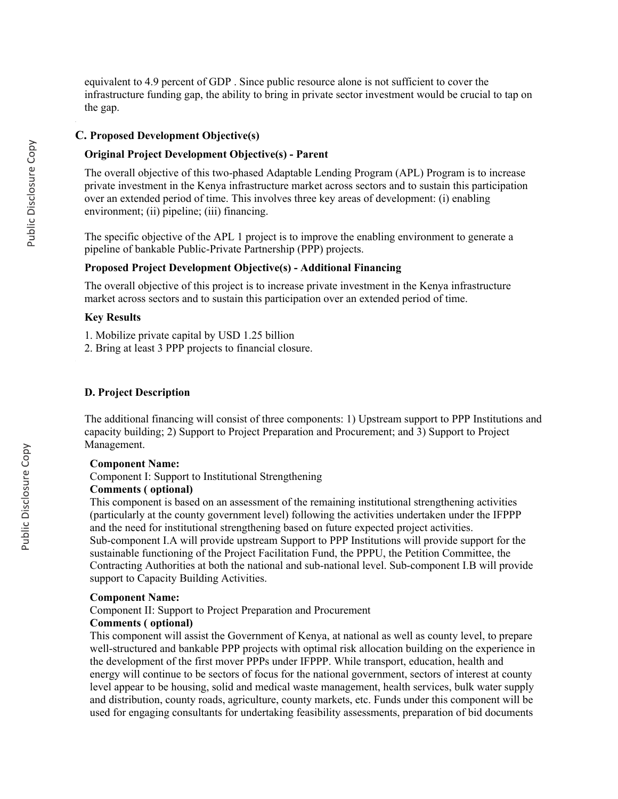equivalent to 4.9 percent of GDP . Since public resource alone is not sufficient to cover the infrastructure funding gap, the ability to bring in private sector investment would be crucial to tap on the gap.

#### **C. Proposed Development Objective(s)**

#### **Original Project Development Objective(s) - Parent**

The overall objective of this two-phased Adaptable Lending Program (APL) Program is to increase private investment in the Kenya infrastructure market across sectors and to sustain this participation over an extended period of time. This involves three key areas of development: (i) enabling environment; (ii) pipeline; (iii) financing.

The specific objective of the APL 1 project is to improve the enabling environment to generate a pipeline of bankable Public-Private Partnership (PPP) projects.

#### **Proposed Project Development Objective(s) - Additional Financing**

The overall objective of this project is to increase private investment in the Kenya infrastructure market across sectors and to sustain this participation over an extended period of time.

#### **Key Results**

1. Mobilize private capital by USD 1.25 billion

2. Bring at least 3 PPP projects to financial closure.

#### **D. Project Description**

The additional financing will consist of three components: 1) Upstream support to PPP Institutions and capacity building; 2) Support to Project Preparation and Procurement; and 3) Support to Project Management.

#### **Component Name:**

Component I: Support to Institutional Strengthening

### **Comments ( optional)**

This component is based on an assessment of the remaining institutional strengthening activities (particularly at the county government level) following the activities undertaken under the IFPPP and the need for institutional strengthening based on future expected project activities. Sub-component I.A will provide upstream Support to PPP Institutions will provide support for the sustainable functioning of the Project Facilitation Fund, the PPPU, the Petition Committee, the Contracting Authorities at both the national and sub-national level. Sub-component I.B will provide support to Capacity Building Activities.

#### **Component Name:**

Component II: Support to Project Preparation and Procurement

#### **Comments ( optional)**

This component will assist the Government of Kenya, at national as well as county level, to prepare well-structured and bankable PPP projects with optimal risk allocation building on the experience in the development of the first mover PPPs under IFPPP. While transport, education, health and energy will continue to be sectors of focus for the national government, sectors of interest at county level appear to be housing, solid and medical waste management, health services, bulk water supply and distribution, county roads, agriculture, county markets, etc. Funds under this component will be used for engaging consultants for undertaking feasibility assessments, preparation of bid documents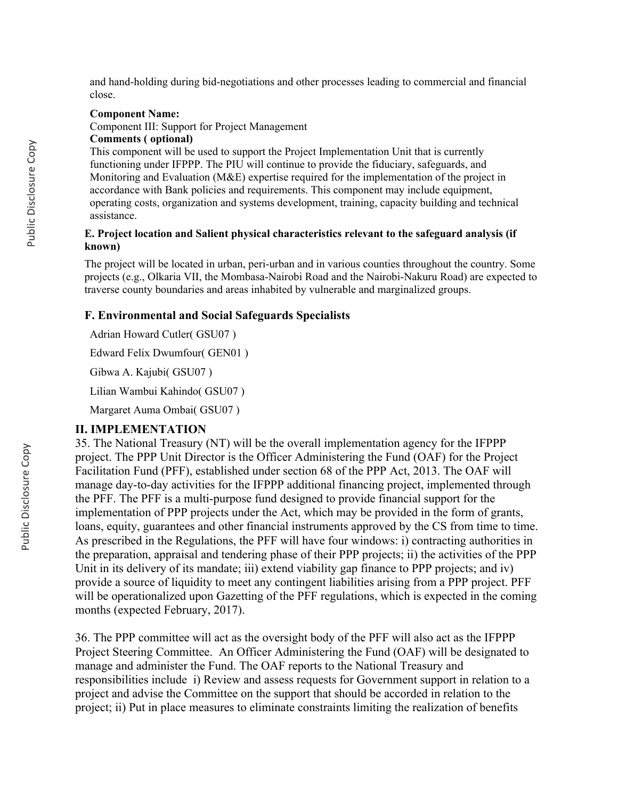and hand-holding during bid-negotiations and other processes leading to commercial and financial close.

#### **Component Name:**

Component III: Support for Project Management

#### **Comments ( optional)**

This component will be used to support the Project Implementation Unit that is currently functioning under IFPPP. The PIU will continue to provide the fiduciary, safeguards, and Monitoring and Evaluation (M&E) expertise required for the implementation of the project in accordance with Bank policies and requirements. This component may include equipment, operating costs, organization and systems development, training, capacity building and technical assistance.

#### **E. Project location and Salient physical characteristics relevant to the safeguard analysis (if known)**

The project will be located in urban, peri-urban and in various counties throughout the country. Some projects (e.g., Olkaria VII, the Mombasa-Nairobi Road and the Nairobi-Nakuru Road) are expected to traverse county boundaries and areas inhabited by vulnerable and marginalized groups.

#### **F. Environmental and Social Safeguards Specialists**

Adrian Howard Cutler( GSU07 )

Edward Felix Dwumfour( GEN01 )

Gibwa A. Kajubi( GSU07 )

Lilian Wambui Kahindo( GSU07 )

Margaret Auma Ombai( GSU07 )

#### **II. IMPLEMENTATION**

35. The National Treasury (NT) will be the overall implementation agency for the IFPPP project. The PPP Unit Director is the Officer Administering the Fund (OAF) for the Project Facilitation Fund (PFF), established under section 68 of the PPP Act, 2013. The OAF will manage day-to-day activities for the IFPPP additional financing project, implemented through the PFF. The PFF is a multi-purpose fund designed to provide financial support for the implementation of PPP projects under the Act, which may be provided in the form of grants, loans, equity, guarantees and other financial instruments approved by the CS from time to time. As prescribed in the Regulations, the PFF will have four windows: i) contracting authorities in the preparation, appraisal and tendering phase of their PPP projects; ii) the activities of the PPP Unit in its delivery of its mandate; iii) extend viability gap finance to PPP projects; and iv) provide a source of liquidity to meet any contingent liabilities arising from a PPP project. PFF will be operationalized upon Gazetting of the PFF regulations, which is expected in the coming months (expected February, 2017).

36. The PPP committee will act as the oversight body of the PFF will also act as the IFPPP Project Steering Committee. An Officer Administering the Fund (OAF) will be designated to manage and administer the Fund. The OAF reports to the National Treasury and responsibilities include i) Review and assess requests for Government support in relation to a project and advise the Committee on the support that should be accorded in relation to the project; ii) Put in place measures to eliminate constraints limiting the realization of benefits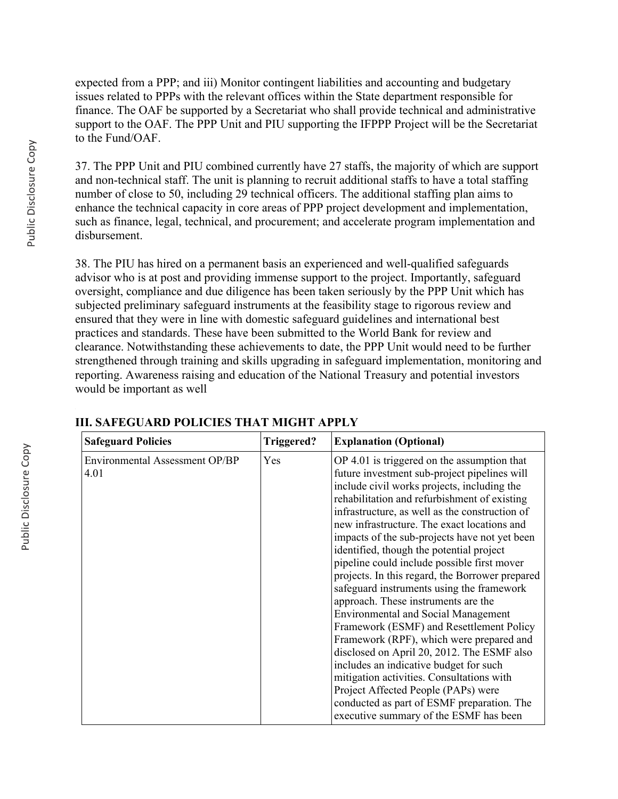expected from a PPP; and iii) Monitor contingent liabilities and accounting and budgetary issues related to PPPs with the relevant offices within the State department responsible for finance. The OAF be supported by a Secretariat who shall provide technical and administrative support to the OAF. The PPP Unit and PIU supporting the IFPPP Project will be the Secretariat to the Fund/OAF.

37. The PPP Unit and PIU combined currently have 27 staffs, the majority of which are support and non-technical staff. The unit is planning to recruit additional staffs to have a total staffing number of close to 50, including 29 technical officers. The additional staffing plan aims to enhance the technical capacity in core areas of PPP project development and implementation, such as finance, legal, technical, and procurement; and accelerate program implementation and disbursement.

38. The PIU has hired on a permanent basis an experienced and well-qualified safeguards advisor who is at post and providing immense support to the project. Importantly, safeguard oversight, compliance and due diligence has been taken seriously by the PPP Unit which has subjected preliminary safeguard instruments at the feasibility stage to rigorous review and ensured that they were in line with domestic safeguard guidelines and international best practices and standards. These have been submitted to the World Bank for review and clearance. Notwithstanding these achievements to date, the PPP Unit would need to be further strengthened through training and skills upgrading in safeguard implementation, monitoring and reporting. Awareness raising and education of the National Treasury and potential investors would be important as well

| <b>Safeguard Policies</b>              | Triggered? | <b>Explanation (Optional)</b>                                                                                                                                                                                                                                                                                                                                                                                                                                                                                                                                                                                                                                                                                                                                                                                                                                                                                                                                                            |
|----------------------------------------|------------|------------------------------------------------------------------------------------------------------------------------------------------------------------------------------------------------------------------------------------------------------------------------------------------------------------------------------------------------------------------------------------------------------------------------------------------------------------------------------------------------------------------------------------------------------------------------------------------------------------------------------------------------------------------------------------------------------------------------------------------------------------------------------------------------------------------------------------------------------------------------------------------------------------------------------------------------------------------------------------------|
| Environmental Assessment OP/BP<br>4.01 | Yes        | OP 4.01 is triggered on the assumption that<br>future investment sub-project pipelines will<br>include civil works projects, including the<br>rehabilitation and refurbishment of existing<br>infrastructure, as well as the construction of<br>new infrastructure. The exact locations and<br>impacts of the sub-projects have not yet been<br>identified, though the potential project<br>pipeline could include possible first mover<br>projects. In this regard, the Borrower prepared<br>safeguard instruments using the framework<br>approach. These instruments are the<br><b>Environmental and Social Management</b><br>Framework (ESMF) and Resettlement Policy<br>Framework (RPF), which were prepared and<br>disclosed on April 20, 2012. The ESMF also<br>includes an indicative budget for such<br>mitigation activities. Consultations with<br>Project Affected People (PAPs) were<br>conducted as part of ESMF preparation. The<br>executive summary of the ESMF has been |

### **III. SAFEGUARD POLICIES THAT MIGHT APPLY**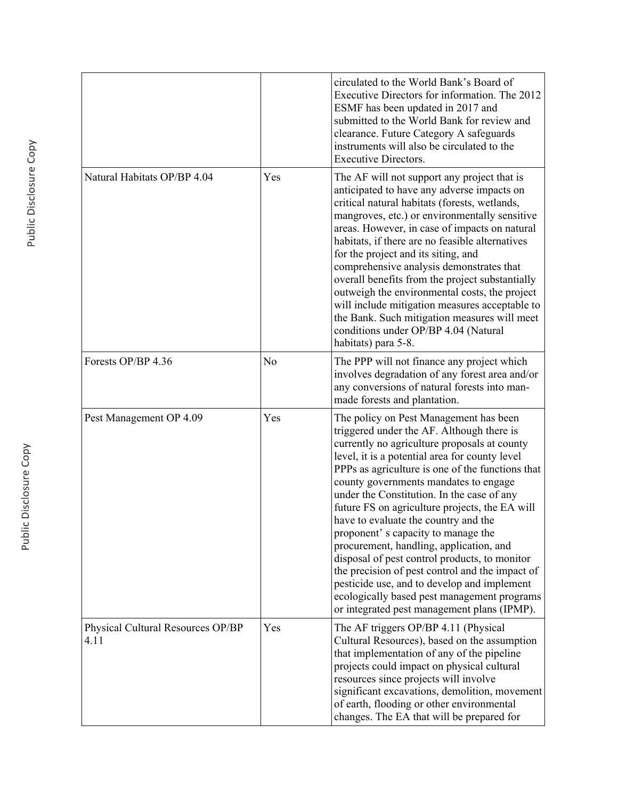|                                           |                | circulated to the World Bank's Board of<br>Executive Directors for information. The 2012<br>ESMF has been updated in 2017 and<br>submitted to the World Bank for review and<br>clearance. Future Category A safeguards<br>instruments will also be circulated to the<br><b>Executive Directors.</b>                                                                                                                                                                                                                                                                                                                                                                                                                                                          |
|-------------------------------------------|----------------|--------------------------------------------------------------------------------------------------------------------------------------------------------------------------------------------------------------------------------------------------------------------------------------------------------------------------------------------------------------------------------------------------------------------------------------------------------------------------------------------------------------------------------------------------------------------------------------------------------------------------------------------------------------------------------------------------------------------------------------------------------------|
| Natural Habitats OP/BP 4.04               | Yes            | The AF will not support any project that is<br>anticipated to have any adverse impacts on<br>critical natural habitats (forests, wetlands,<br>mangroves, etc.) or environmentally sensitive<br>areas. However, in case of impacts on natural<br>habitats, if there are no feasible alternatives<br>for the project and its siting, and<br>comprehensive analysis demonstrates that<br>overall benefits from the project substantially<br>outweigh the environmental costs, the project<br>will include mitigation measures acceptable to<br>the Bank. Such mitigation measures will meet<br>conditions under OP/BP 4.04 (Natural<br>habitats) para 5-8.                                                                                                      |
| Forests OP/BP 4.36                        | N <sub>o</sub> | The PPP will not finance any project which<br>involves degradation of any forest area and/or<br>any conversions of natural forests into man-<br>made forests and plantation.                                                                                                                                                                                                                                                                                                                                                                                                                                                                                                                                                                                 |
| Pest Management OP 4.09                   | Yes            | The policy on Pest Management has been<br>triggered under the AF. Although there is<br>currently no agriculture proposals at county<br>level, it is a potential area for county level<br>PPPs as agriculture is one of the functions that<br>county governments mandates to engage<br>under the Constitution. In the case of any<br>future FS on agriculture projects, the EA will<br>have to evaluate the country and the<br>proponent's capacity to manage the<br>procurement, handling, application, and<br>disposal of pest control products, to monitor<br>the precision of pest control and the impact of<br>pesticide use, and to develop and implement<br>ecologically based pest management programs<br>or integrated pest management plans (IPMP). |
| Physical Cultural Resources OP/BP<br>4.11 | Yes            | The AF triggers OP/BP 4.11 (Physical<br>Cultural Resources), based on the assumption<br>that implementation of any of the pipeline<br>projects could impact on physical cultural<br>resources since projects will involve<br>significant excavations, demolition, movement<br>of earth, flooding or other environmental<br>changes. The EA that will be prepared for                                                                                                                                                                                                                                                                                                                                                                                         |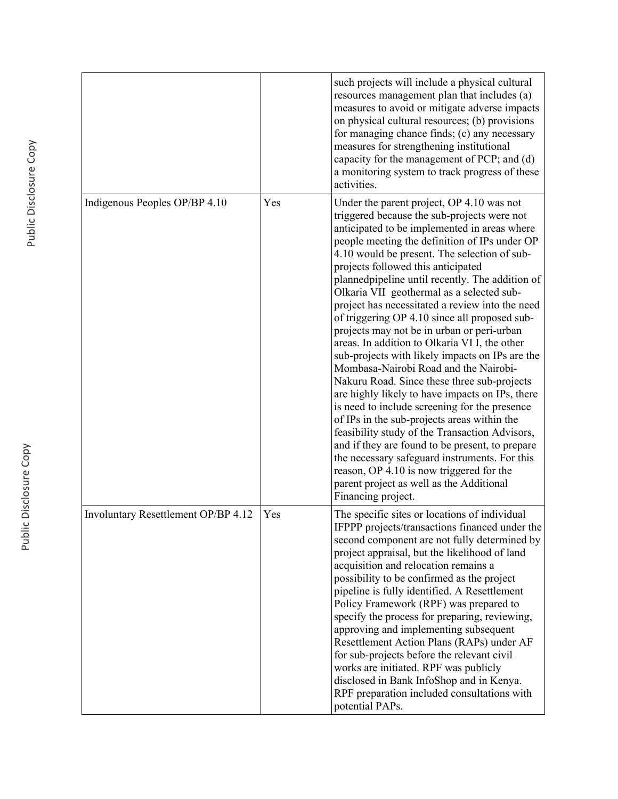|                                     |     | such projects will include a physical cultural<br>resources management plan that includes (a)<br>measures to avoid or mitigate adverse impacts<br>on physical cultural resources; (b) provisions<br>for managing chance finds; (c) any necessary<br>measures for strengthening institutional<br>capacity for the management of PCP; and (d)<br>a monitoring system to track progress of these<br>activities.                                                                                                                                                                                                                                                                                                                                                                                                                                                                                                                                                                                                                                                                                                                                         |
|-------------------------------------|-----|------------------------------------------------------------------------------------------------------------------------------------------------------------------------------------------------------------------------------------------------------------------------------------------------------------------------------------------------------------------------------------------------------------------------------------------------------------------------------------------------------------------------------------------------------------------------------------------------------------------------------------------------------------------------------------------------------------------------------------------------------------------------------------------------------------------------------------------------------------------------------------------------------------------------------------------------------------------------------------------------------------------------------------------------------------------------------------------------------------------------------------------------------|
| Indigenous Peoples OP/BP 4.10       | Yes | Under the parent project, OP 4.10 was not<br>triggered because the sub-projects were not<br>anticipated to be implemented in areas where<br>people meeting the definition of IPs under OP<br>4.10 would be present. The selection of sub-<br>projects followed this anticipated<br>plannedpipeline until recently. The addition of<br>Olkaria VII geothermal as a selected sub-<br>project has necessitated a review into the need<br>of triggering OP 4.10 since all proposed sub-<br>projects may not be in urban or peri-urban<br>areas. In addition to Olkaria VI I, the other<br>sub-projects with likely impacts on IPs are the<br>Mombasa-Nairobi Road and the Nairobi-<br>Nakuru Road. Since these three sub-projects<br>are highly likely to have impacts on IPs, there<br>is need to include screening for the presence<br>of IPs in the sub-projects areas within the<br>feasibility study of the Transaction Advisors,<br>and if they are found to be present, to prepare<br>the necessary safeguard instruments. For this<br>reason, OP 4.10 is now triggered for the<br>parent project as well as the Additional<br>Financing project. |
| Involuntary Resettlement OP/BP 4.12 | Yes | The specific sites or locations of individual<br>IFPPP projects/transactions financed under the<br>second component are not fully determined by<br>project appraisal, but the likelihood of land<br>acquisition and relocation remains a<br>possibility to be confirmed as the project<br>pipeline is fully identified. A Resettlement<br>Policy Framework (RPF) was prepared to<br>specify the process for preparing, reviewing,<br>approving and implementing subsequent<br>Resettlement Action Plans (RAPs) under AF<br>for sub-projects before the relevant civil<br>works are initiated. RPF was publicly<br>disclosed in Bank InfoShop and in Kenya.<br>RPF preparation included consultations with<br>potential PAPs.                                                                                                                                                                                                                                                                                                                                                                                                                         |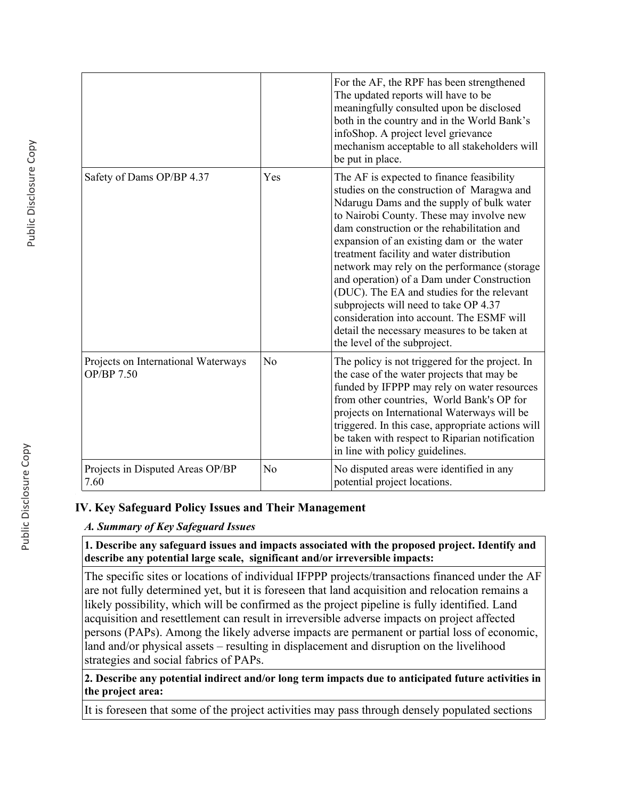|                                                   |                | For the AF, the RPF has been strengthened<br>The updated reports will have to be<br>meaningfully consulted upon be disclosed<br>both in the country and in the World Bank's<br>infoShop. A project level grievance<br>mechanism acceptable to all stakeholders will<br>be put in place.                                                                                                                                                                                                                                                                                                                                                    |
|---------------------------------------------------|----------------|--------------------------------------------------------------------------------------------------------------------------------------------------------------------------------------------------------------------------------------------------------------------------------------------------------------------------------------------------------------------------------------------------------------------------------------------------------------------------------------------------------------------------------------------------------------------------------------------------------------------------------------------|
| Safety of Dams OP/BP 4.37                         | Yes            | The AF is expected to finance feasibility<br>studies on the construction of Maragwa and<br>Ndarugu Dams and the supply of bulk water<br>to Nairobi County. These may involve new<br>dam construction or the rehabilitation and<br>expansion of an existing dam or the water<br>treatment facility and water distribution<br>network may rely on the performance (storage<br>and operation) of a Dam under Construction<br>(DUC). The EA and studies for the relevant<br>subprojects will need to take OP 4.37<br>consideration into account. The ESMF will<br>detail the necessary measures to be taken at<br>the level of the subproject. |
| Projects on International Waterways<br>OP/BP 7.50 | N <sub>0</sub> | The policy is not triggered for the project. In<br>the case of the water projects that may be<br>funded by IFPPP may rely on water resources<br>from other countries, World Bank's OP for<br>projects on International Waterways will be<br>triggered. In this case, appropriate actions will<br>be taken with respect to Riparian notification<br>in line with policy guidelines.                                                                                                                                                                                                                                                         |
| Projects in Disputed Areas OP/BP<br>7.60          | No             | No disputed areas were identified in any<br>potential project locations.                                                                                                                                                                                                                                                                                                                                                                                                                                                                                                                                                                   |

## **IV. Key Safeguard Policy Issues and Their Management**

### *A. Summary of Key Safeguard Issues*

**1. Describe any safeguard issues and impacts associated with the proposed project. Identify and describe any potential large scale, significant and/or irreversible impacts:**

The specific sites or locations of individual IFPPP projects/transactions financed under the AF are not fully determined yet, but it is foreseen that land acquisition and relocation remains a likely possibility, which will be confirmed as the project pipeline is fully identified. Land acquisition and resettlement can result in irreversible adverse impacts on project affected persons (PAPs). Among the likely adverse impacts are permanent or partial loss of economic, land and/or physical assets – resulting in displacement and disruption on the livelihood strategies and social fabrics of PAPs.

**2. Describe any potential indirect and/or long term impacts due to anticipated future activities in the project area:**

It is foreseen that some of the project activities may pass through densely populated sections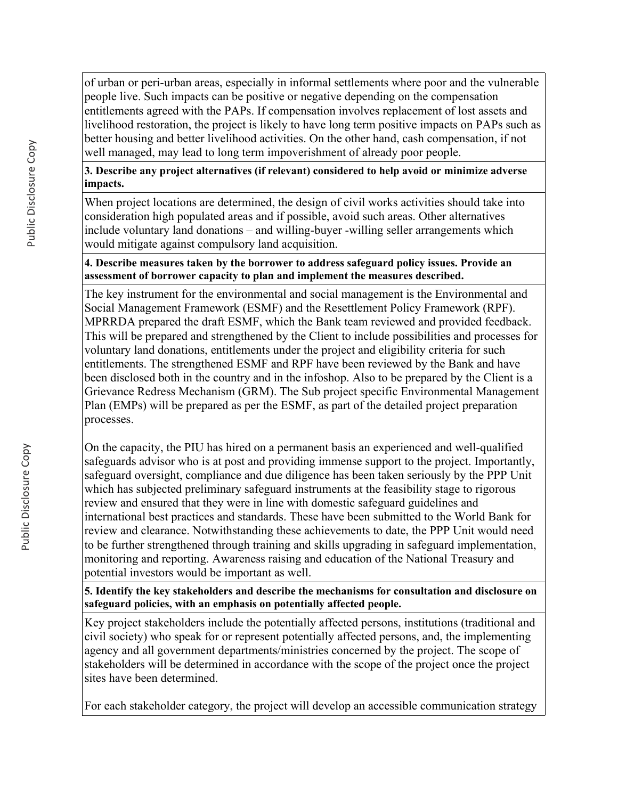of urban or peri-urban areas, especially in informal settlements where poor and the vulnerable people live. Such impacts can be positive or negative depending on the compensation entitlements agreed with the PAPs. If compensation involves replacement of lost assets and livelihood restoration, the project is likely to have long term positive impacts on PAPs such as better housing and better livelihood activities. On the other hand, cash compensation, if not well managed, may lead to long term impoverishment of already poor people.

## **3. Describe any project alternatives (if relevant) considered to help avoid or minimize adverse impacts.**

When project locations are determined, the design of civil works activities should take into consideration high populated areas and if possible, avoid such areas. Other alternatives include voluntary land donations – and willing-buyer -willing seller arrangements which would mitigate against compulsory land acquisition.

### **4. Describe measures taken by the borrower to address safeguard policy issues. Provide an assessment of borrower capacity to plan and implement the measures described.**

The key instrument for the environmental and social management is the Environmental and Social Management Framework (ESMF) and the Resettlement Policy Framework (RPF). MPRRDA prepared the draft ESMF, which the Bank team reviewed and provided feedback. This will be prepared and strengthened by the Client to include possibilities and processes for voluntary land donations, entitlements under the project and eligibility criteria for such entitlements. The strengthened ESMF and RPF have been reviewed by the Bank and have been disclosed both in the country and in the infoshop. Also to be prepared by the Client is a Grievance Redress Mechanism (GRM). The Sub project specific Environmental Management Plan (EMPs) will be prepared as per the ESMF, as part of the detailed project preparation processes.

On the capacity, the PIU has hired on a permanent basis an experienced and well-qualified safeguards advisor who is at post and providing immense support to the project. Importantly, safeguard oversight, compliance and due diligence has been taken seriously by the PPP Unit which has subjected preliminary safeguard instruments at the feasibility stage to rigorous review and ensured that they were in line with domestic safeguard guidelines and international best practices and standards. These have been submitted to the World Bank for review and clearance. Notwithstanding these achievements to date, the PPP Unit would need to be further strengthened through training and skills upgrading in safeguard implementation, monitoring and reporting. Awareness raising and education of the National Treasury and potential investors would be important as well.

**5. Identify the key stakeholders and describe the mechanisms for consultation and disclosure on safeguard policies, with an emphasis on potentially affected people.**

Key project stakeholders include the potentially affected persons, institutions (traditional and civil society) who speak for or represent potentially affected persons, and, the implementing agency and all government departments/ministries concerned by the project. The scope of stakeholders will be determined in accordance with the scope of the project once the project sites have been determined.

For each stakeholder category, the project will develop an accessible communication strategy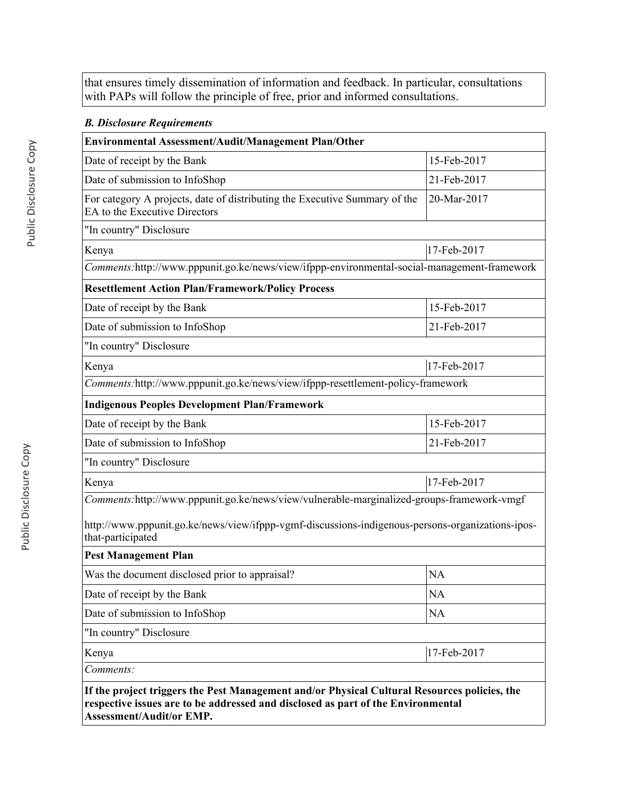that ensures timely dissemination of information and feedback. In particular, consultations with PAPs will follow the principle of free, prior and informed consultations.

## *B. Disclosure Requirements*

| Environmental Assessment/Audit/Management Plan/Other                                                                  |             |
|-----------------------------------------------------------------------------------------------------------------------|-------------|
| Date of receipt by the Bank                                                                                           | 15-Feb-2017 |
| Date of submission to InfoShop                                                                                        | 21-Feb-2017 |
| For category A projects, date of distributing the Executive Summary of the<br>EA to the Executive Directors           | 20-Mar-2017 |
| "In country" Disclosure                                                                                               |             |
| Kenya                                                                                                                 | 17-Feb-2017 |
| Comments:http://www.pppunit.go.ke/news/view/ifppp-environmental-social-management-framework                           |             |
| <b>Resettlement Action Plan/Framework/Policy Process</b>                                                              |             |
| Date of receipt by the Bank                                                                                           | 15-Feb-2017 |
| Date of submission to InfoShop                                                                                        | 21-Feb-2017 |
| "In country" Disclosure                                                                                               |             |
| Kenya                                                                                                                 | 17-Feb-2017 |
| Comments:http://www.pppunit.go.ke/news/view/ifppp-resettlement-policy-framework                                       |             |
| <b>Indigenous Peoples Development Plan/Framework</b>                                                                  |             |
| Date of receipt by the Bank                                                                                           | 15-Feb-2017 |
| Date of submission to InfoShop                                                                                        | 21-Feb-2017 |
| "In country" Disclosure                                                                                               |             |
| Kenya                                                                                                                 | 17-Feb-2017 |
| Comments:http://www.pppunit.go.ke/news/view/vulnerable-marginalized-groups-framework-vmgf                             |             |
| http://www.pppunit.go.ke/news/view/ifppp-vgmf-discussions-indigenous-persons-organizations-ipos-<br>that-participated |             |
| <b>Pest Management Plan</b>                                                                                           |             |
| Was the document disclosed prior to appraisal?                                                                        | <b>NA</b>   |
| Date of receipt by the Bank                                                                                           | NA          |
| Date of submission to InfoShop                                                                                        | NA          |
| "In country" Disclosure                                                                                               |             |
| Kenya                                                                                                                 | 17-Feb-2017 |
| Comments:                                                                                                             |             |
| If the project triggers the Pest Management and/or Physical Cultural Resources policies, the                          |             |

**respective issues are to be addressed and disclosed as part of the Environmental Assessment/Audit/or EMP.**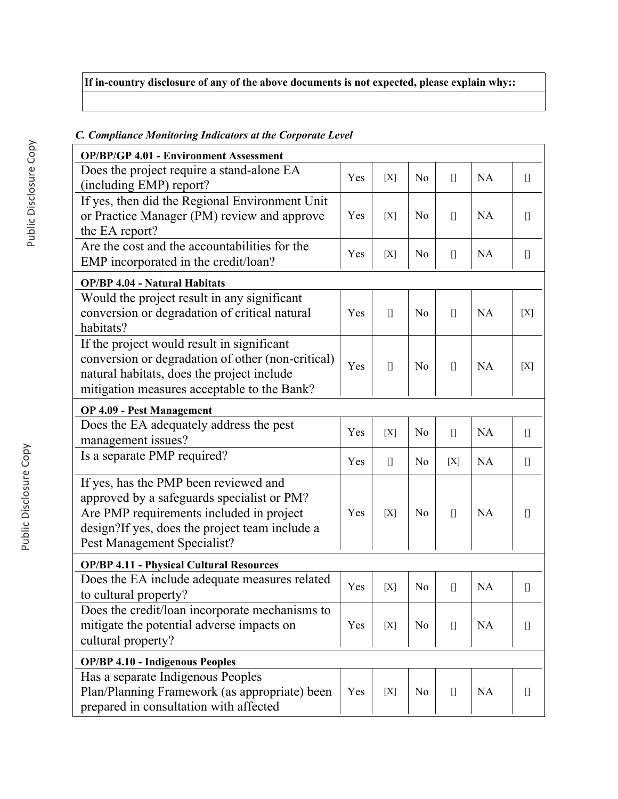# **If in-country disclosure of any of the above documents is not expected, please explain why::**

| <b>OP/BP/GP 4.01 - Environment Assessment</b>                        |     |                                   |                |      |           |                                                                                                                                                                                                                                                                                                                                                                      |
|----------------------------------------------------------------------|-----|-----------------------------------|----------------|------|-----------|----------------------------------------------------------------------------------------------------------------------------------------------------------------------------------------------------------------------------------------------------------------------------------------------------------------------------------------------------------------------|
| Does the project require a stand-alone EA<br>(including EMP) report? | Yes | [X]                               | N <sub>o</sub> | $[$  | NA        | $[] \centering \includegraphics[width=0.47\textwidth]{images/TransY_1.png} \caption{The first two different values of $100$ K, $100$ K, $100$ K, $100$ K, $100$ K, $100$ K, $100$ K, $100$ K, $100$ K, $100$ K, $100$ K, $100$ K, $100$ K, $100$ K, $100$ K, $100$ K, $100$ K, $100$ K, $100$ K, $100$ K, $100$ K, $100$ K, $100$ K, $100$ K, $100$ K, $100$ K, $10$ |
| If yes, then did the Regional Environment Unit                       |     |                                   |                |      |           |                                                                                                                                                                                                                                                                                                                                                                      |
| or Practice Manager (PM) review and approve<br>the EA report?        | Yes | [X]                               | N <sub>0</sub> | $[$  | NA        |                                                                                                                                                                                                                                                                                                                                                                      |
| Are the cost and the accountabilities for the                        | Yes |                                   | N <sub>0</sub> |      | NA        |                                                                                                                                                                                                                                                                                                                                                                      |
| EMP incorporated in the credit/loan?                                 |     | [X]                               |                | $[$  |           | $[] \centering \includegraphics[width=0.47\textwidth]{images/TransY_1.png} \caption{The first two different values of $100$ K, $100$ K, $100$ K, $100$ K, $100$ K, $100$ K, $100$ K, $100$ K, $100$ K, $100$ K, $100$ K, $100$ K, $100$ K, $100$ K, $100$ K, $100$ K, $100$ K, $100$ K, $100$ K, $100$ K, $100$ K, $100$ K, $100$ K, $100$ K, $100$ K, $100$ K, $10$ |
| <b>OP/BP 4.04 - Natural Habitats</b>                                 |     |                                   |                |      |           |                                                                                                                                                                                                                                                                                                                                                                      |
| Would the project result in any significant                          |     |                                   |                |      |           |                                                                                                                                                                                                                                                                                                                                                                      |
| conversion or degradation of critical natural<br>habitats?           | Yes | $[$                               | N <sub>o</sub> | $[$  | NA        | [X]                                                                                                                                                                                                                                                                                                                                                                  |
| If the project would result in significant                           |     |                                   |                |      |           |                                                                                                                                                                                                                                                                                                                                                                      |
| conversion or degradation of other (non-critical)                    | Yes | $[$                               | N <sub>0</sub> |      | <b>NA</b> | [X]                                                                                                                                                                                                                                                                                                                                                                  |
| natural habitats, does the project include                           |     |                                   |                |      |           |                                                                                                                                                                                                                                                                                                                                                                      |
| mitigation measures acceptable to the Bank?                          |     |                                   |                |      |           |                                                                                                                                                                                                                                                                                                                                                                      |
| <b>OP 4.09 - Pest Management</b>                                     |     |                                   |                |      |           |                                                                                                                                                                                                                                                                                                                                                                      |
| Does the EA adequately address the pest                              | Yes | [X]                               | N <sub>o</sub> | $[]$ | NA        | $[] \centering \includegraphics[width=0.47\textwidth]{images/TransY_1.png} \caption{The first two different values of $100$ K, $100$ K, $100$ K, $100$ K, $100$ K, $100$ K, $100$ K, $100$ K, $100$ K, $100$ K, $100$ K, $100$ K, $100$ K, $100$ K, $100$ K, $100$ K, $100$ K, $100$ K, $100$ K, $100$ K, $100$ K, $100$ K, $100$ K, $100$ K, $100$ K, $100$ K, $10$ |
| management issues?                                                   |     |                                   |                |      |           |                                                                                                                                                                                                                                                                                                                                                                      |
| Is a separate PMP required?                                          | Yes | $\begin{bmatrix} 1 \end{bmatrix}$ | N <sub>0</sub> | [X]  | <b>NA</b> | $[] \centering \includegraphics[width=0.47\textwidth]{images/TrDiM-Architecture.png} \caption{The 3D (top) and 4D (bottom) are shown in the left and right.} \label{TrDiM-Architecture}$                                                                                                                                                                             |
| If yes, has the PMP been reviewed and                                |     |                                   |                |      |           |                                                                                                                                                                                                                                                                                                                                                                      |
| approved by a safeguards specialist or PM?                           |     |                                   |                |      |           |                                                                                                                                                                                                                                                                                                                                                                      |
| Are PMP requirements included in project                             | Yes | [X]                               | N <sub>0</sub> | $[$  | <b>NA</b> | O                                                                                                                                                                                                                                                                                                                                                                    |
| design?If yes, does the project team include a                       |     |                                   |                |      |           |                                                                                                                                                                                                                                                                                                                                                                      |
| Pest Management Specialist?                                          |     |                                   |                |      |           |                                                                                                                                                                                                                                                                                                                                                                      |
| <b>OP/BP 4.11 - Physical Cultural Resources</b>                      |     |                                   |                |      |           |                                                                                                                                                                                                                                                                                                                                                                      |
| Does the EA include adequate measures related                        | Yes | [X]                               | N <sub>0</sub> | $[$  | NA        | П                                                                                                                                                                                                                                                                                                                                                                    |
| to cultural property?                                                |     |                                   |                |      |           |                                                                                                                                                                                                                                                                                                                                                                      |
| Does the credit/loan incorporate mechanisms to                       |     |                                   |                |      |           |                                                                                                                                                                                                                                                                                                                                                                      |
| mitigate the potential adverse impacts on                            | Yes | [X]                               | No             |      | <b>NA</b> | $\begin{array}{c} \square \end{array}$                                                                                                                                                                                                                                                                                                                               |
| cultural property?                                                   |     |                                   |                |      |           |                                                                                                                                                                                                                                                                                                                                                                      |
| <b>OP/BP 4.10 - Indigenous Peoples</b>                               |     |                                   |                |      |           |                                                                                                                                                                                                                                                                                                                                                                      |
| Has a separate Indigenous Peoples                                    |     |                                   |                |      |           |                                                                                                                                                                                                                                                                                                                                                                      |
| Plan/Planning Framework (as appropriate) been                        | Yes | [X]                               | N <sub>0</sub> | $[$  | <b>NA</b> | O                                                                                                                                                                                                                                                                                                                                                                    |
| prepared in consultation with affected                               |     |                                   |                |      |           |                                                                                                                                                                                                                                                                                                                                                                      |

## *C. Compliance Monitoring Indicators at the Corporate Level*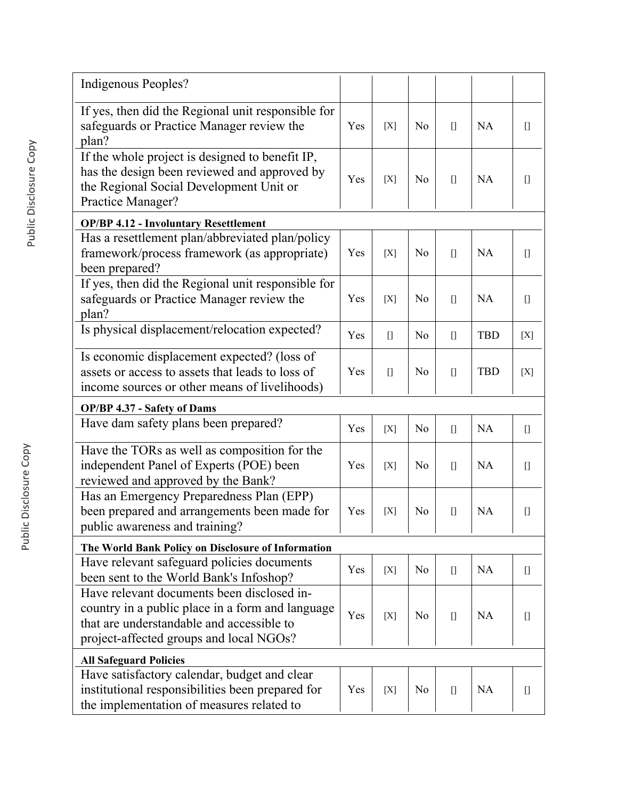| Indigenous Peoples?                                                                                                                                             |     |       |                |                                   |            |                                                                                                                                                                                                                                                                                                                                                                      |
|-----------------------------------------------------------------------------------------------------------------------------------------------------------------|-----|-------|----------------|-----------------------------------|------------|----------------------------------------------------------------------------------------------------------------------------------------------------------------------------------------------------------------------------------------------------------------------------------------------------------------------------------------------------------------------|
| If yes, then did the Regional unit responsible for<br>safeguards or Practice Manager review the<br>plan?                                                        | Yes | [X]   | N <sub>0</sub> | $[$                               | <b>NA</b>  |                                                                                                                                                                                                                                                                                                                                                                      |
| If the whole project is designed to benefit IP,<br>has the design been reviewed and approved by<br>the Regional Social Development Unit or<br>Practice Manager? | Yes | [X]   | N <sub>o</sub> | $[]$                              | <b>NA</b>  |                                                                                                                                                                                                                                                                                                                                                                      |
| <b>OP/BP 4.12 - Involuntary Resettlement</b>                                                                                                                    |     |       |                |                                   |            |                                                                                                                                                                                                                                                                                                                                                                      |
| Has a resettlement plan/abbreviated plan/policy<br>framework/process framework (as appropriate)<br>been prepared?                                               | Yes | [X]   | N <sub>o</sub> | $[$                               | <b>NA</b>  | $[] \centering \includegraphics[width=0.47\textwidth]{images/TransY_1.png} \caption{The first two different values of $100$ K, $100$ K, $100$ K, $100$ K, $100$ K, $100$ K, $100$ K, $100$ K, $100$ K, $100$ K, $100$ K, $100$ K, $100$ K, $100$ K, $100$ K, $100$ K, $100$ K, $100$ K, $100$ K, $100$ K, $100$ K, $100$ K, $100$ K, $100$ K, $100$ K, $100$ K, $10$ |
| If yes, then did the Regional unit responsible for<br>safeguards or Practice Manager review the<br>plan?                                                        | Yes | [X]   | N <sub>0</sub> | $[$                               | <b>NA</b>  | $[] \centering \includegraphics[width=0.47\textwidth]{images/TransY_1.png} \caption{The first two different values of $100$ K, $100$ K, $100$ K, $100$ K, $100$ K, $100$ K, $100$ K, $100$ K, $100$ K, $100$ K, $100$ K, $100$ K, $100$ K, $100$ K, $100$ K, $100$ K, $100$ K, $100$ K, $100$ K, $100$ K, $100$ K, $100$ K, $100$ K, $100$ K, $100$ K, $100$ K, $10$ |
| Is physical displacement/relocation expected?                                                                                                                   | Yes | $[$   | N <sub>0</sub> |                                   | <b>TBD</b> | $[X]$                                                                                                                                                                                                                                                                                                                                                                |
| Is economic displacement expected? (loss of<br>assets or access to assets that leads to loss of<br>income sources or other means of livelihoods)                | Yes | $[$   | N <sub>0</sub> | $[$                               | <b>TBD</b> | [X]                                                                                                                                                                                                                                                                                                                                                                  |
| <b>OP/BP 4.37 - Safety of Dams</b>                                                                                                                              |     |       |                |                                   |            |                                                                                                                                                                                                                                                                                                                                                                      |
| Have dam safety plans been prepared?                                                                                                                            | Yes | [X]   | N <sub>0</sub> | $[$                               | NA         | $[] \centering \includegraphics[width=0.47\textwidth]{images/TransY_1.png} \caption{The first two different values of $100$ K, $100$ K, $100$ K, $100$ K, $100$ K, $100$ K, $100$ K, $100$ K, $100$ K, $100$ K, $100$ K, $100$ K, $100$ K, $100$ K, $100$ K, $100$ K, $100$ K, $100$ K, $100$ K, $100$ K, $100$ K, $100$ K, $100$ K, $100$ K, $100$ K, $100$ K, $10$ |
| Have the TORs as well as composition for the<br>independent Panel of Experts (POE) been<br>reviewed and approved by the Bank?                                   | Yes | [X]   | N <sub>0</sub> | $[$                               | <b>NA</b>  |                                                                                                                                                                                                                                                                                                                                                                      |
| Has an Emergency Preparedness Plan (EPP)<br>been prepared and arrangements been made for<br>public awareness and training?                                      | Yes | [X]   | N <sub>0</sub> |                                   | <b>NA</b>  | O                                                                                                                                                                                                                                                                                                                                                                    |
| The World Bank Policy on Disclosure of Information                                                                                                              |     |       |                |                                   |            |                                                                                                                                                                                                                                                                                                                                                                      |
| Have relevant safeguard policies documents<br>been sent to the World Bank's Infoshop?                                                                           | Yes | [X]   | N <sub>o</sub> | $\begin{bmatrix} 1 \end{bmatrix}$ | <b>NA</b>  | $[] \centering \includegraphics[width=0.47\textwidth]{images/TransY_1.png} \caption{The first two different values of $100$ K, $100$ K, $100$ K, $100$ K, $100$ K, $100$ K, $100$ K, $100$ K, $100$ K, $100$ K, $100$ K, $100$ K, $100$ K, $100$ K, $100$ K, $100$ K, $100$ K, $100$ K, $100$ K, $100$ K, $100$ K, $100$ K, $100$ K, $100$ K, $100$ K, $100$ K, $10$ |
| Have relevant documents been disclosed in-                                                                                                                      |     |       |                |                                   |            |                                                                                                                                                                                                                                                                                                                                                                      |
| country in a public place in a form and language<br>that are understandable and accessible to<br>project-affected groups and local NGOs?                        | Yes | [X]   | N <sub>0</sub> | $[$                               | <b>NA</b>  | $[$                                                                                                                                                                                                                                                                                                                                                                  |
| <b>All Safeguard Policies</b>                                                                                                                                   |     |       |                |                                   |            |                                                                                                                                                                                                                                                                                                                                                                      |
| Have satisfactory calendar, budget and clear<br>institutional responsibilities been prepared for<br>the implementation of measures related to                   | Yes | $[X]$ | N <sub>0</sub> | $[$                               | <b>NA</b>  | $[] \centering \includegraphics[width=0.47\textwidth]{images/TransY_1.png} \caption{The first two different values of $100$ K, $100$ K, $100$ K, $100$ K, $100$ K, $100$ K, $100$ K, $100$ K, $100$ K, $100$ K, $100$ K, $100$ K, $100$ K, $100$ K, $100$ K, $100$ K, $100$ K, $100$ K, $100$ K, $100$ K, $100$ K, $100$ K, $100$ K, $100$ K, $100$ K, $100$ K, $10$ |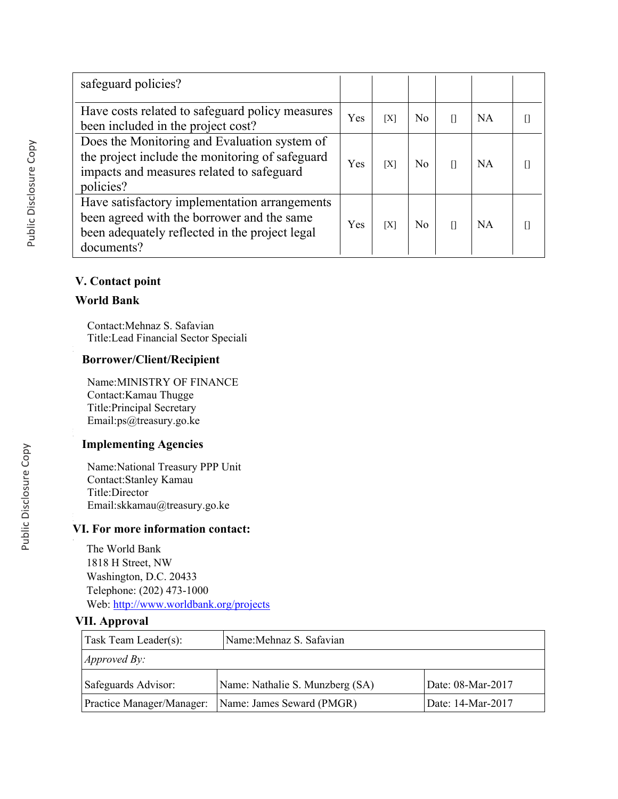| safeguard policies?                                                                                                                                         |     |     |                |           |  |
|-------------------------------------------------------------------------------------------------------------------------------------------------------------|-----|-----|----------------|-----------|--|
| Have costs related to safeguard policy measures<br>been included in the project cost?                                                                       | Yes | [X] | N <sub>0</sub> | <b>NA</b> |  |
| Does the Monitoring and Evaluation system of<br>the project include the monitoring of safeguard<br>impacts and measures related to safeguard<br>policies?   | Yes | [X] | N <sub>0</sub> | <b>NA</b> |  |
| Have satisfactory implementation arrangements<br>been agreed with the borrower and the same<br>been adequately reflected in the project legal<br>documents? | Yes | [X] | N <sub>0</sub> | <b>NA</b> |  |

## **V. Contact point**

### **World Bank**

Contact:Mehnaz S. Safavian Title:Lead Financial Sector Speciali

## **Borrower/Client/Recipient**

Name:MINISTRY OF FINANCE Contact:Kamau Thugge Title:Principal Secretary Email:ps@treasury.go.ke

## **Implementing Agencies**

Name:National Treasury PPP Unit Contact:Stanley Kamau Title:Director Email:skkamau@treasury.go.ke

## **VI. For more information contact:**

The World Bank 1818 H Street, NW Washington, D.C. 20433 Telephone: (202) 473-1000 Web:<http://www.worldbank.org/projects>

## **VII. Approval**

.

| Task Team Leader(s):        | Name: Mehnaz S. Safavian        |                                |
|-----------------------------|---------------------------------|--------------------------------|
| $\vert$ <i>Approved By:</i> |                                 |                                |
| Safeguards Advisor:         | Name: Nathalie S. Munzberg (SA) | Date: 08-Mar-2017              |
| Practice Manager/Manager:   | Name: James Seward (PMGR)       | <sup>1</sup> Date: 14-Mar-2017 |